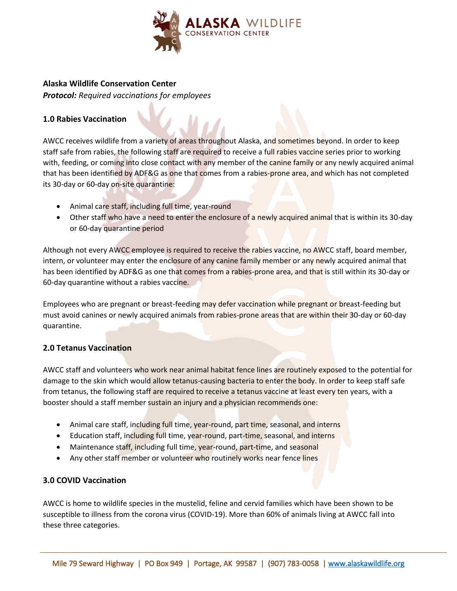

## **Alaska Wildlife Conservation Center**

*Protocol: Required vaccinations for employees*

## **1.0 Rabies Vaccination**

AWCC receives wildlife from a variety of areas throughout Alaska, and sometimes beyond. In order to keep staff safe from rabies, the following staff are required to receive a full rabies vaccine series prior to working with, feeding, or coming into close contact with any member of the canine family or any newly acquired animal that has been identified by ADF&G as one that comes from a rabies-prone area, and which has not completed its 30-day or 60-day on-site quarantine:

- Animal care staff, including full time, year-round
- Other staff who have a need to enter the enclosure of a newly acquired animal that is within its 30-day or 60-day quarantine period

Although not every AWCC employee is required to receive the rabies vaccine, no AWCC staff, board member, intern, or volunteer may enter the enclosure of any canine family member or any newly acquired animal that has been identified by ADF&G as one that comes from a rabies-prone area, and that is still within its 30-day or 60-day quarantine without a rabies vaccine.

Employees who are pregnant or breast-feeding may defer vaccination while pregnant or breast-feeding but must avoid canines or newly acquired animals from rabies-prone areas that are within their 30-day or 60-day quarantine.

## **2.0 Tetanus Vaccination**

AWCC staff and volunteers who work near animal habitat fence lines are routinely exposed to the potential for damage to the skin which would allow tetanus-causing bacteria to enter the body. In order to keep staff safe from tetanus, the following staff are required to receive a tetanus vaccine at least every ten years, with a booster should a staff member sustain an injury and a physician recommends one:

- Animal care staff, including full time, year-round, part time, seasonal, and interns
- Education staff, including full time, year-round, part-time, seasonal, and interns
- Maintenance staff, including full time, year-round, part-time, and seasonal
- Any other staff member or volunteer who routinely works near fence lines

## **3.0 COVID Vaccination**

AWCC is home to wildlife species in the mustelid, feline and cervid families which have been shown to be susceptible to illness from the corona virus (COVID-19). More than 60% of animals living at AWCC fall into these three categories.